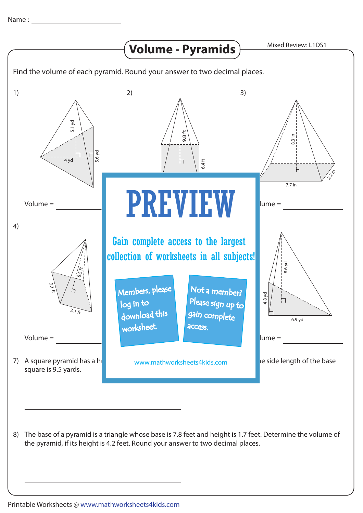